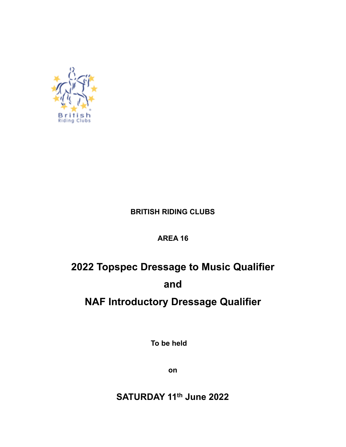

## **BRITISH RIDING CLUBS**

## **AREA 16**

# **2022 Topspec Dressage to Music Qualifier and**

# **NAF Introductory Dressage Qualifier**

**To be held**

**on**

**SATURDAY 11th June 2022**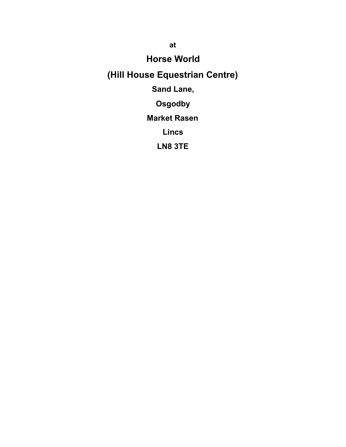**Horse World** 

# **(Hill House Equestrian Centre)**

# **Sand Lane,**

# **Osgodby**

# **Market Rasen**

# **Lincs**

# **LN8 3TE**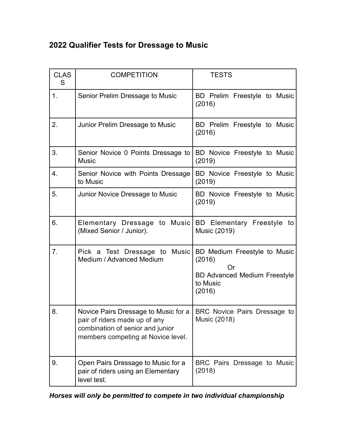# **2022 Qualifier Tests for Dressage to Music**

| <b>CLAS</b><br>S | <b>COMPETITION</b>                                                                                                                              | <b>TESTS</b>                                                                                              |
|------------------|-------------------------------------------------------------------------------------------------------------------------------------------------|-----------------------------------------------------------------------------------------------------------|
| 1.               | Senior Prelim Dressage to Music                                                                                                                 | BD Prelim Freestyle to Music<br>(2016)                                                                    |
| 2.               | Junior Prelim Dressage to Music                                                                                                                 | BD Prelim Freestyle to Music<br>(2016)                                                                    |
| 3.               | Senior Novice 0 Points Dressage to<br><b>Music</b>                                                                                              | BD Novice Freestyle to Music<br>(2019)                                                                    |
| 4.               | Senior Novice with Points Dressage<br>to Music                                                                                                  | BD Novice Freestyle to Music<br>(2019)                                                                    |
| 5.               | Junior Novice Dressage to Music                                                                                                                 | BD Novice Freestyle to Music<br>(2019)                                                                    |
| 6.               | Elementary Dressage to Music BD Elementary Freestyle to<br>(Mixed Senior / Junior).                                                             | Music (2019)                                                                                              |
| 7.               | Pick a Test Dressage to Music<br>Medium / Advanced Medium                                                                                       | BD Medium Freestyle to Music<br>(2016)<br>Or<br><b>BD Advanced Medium Freestyle</b><br>to Music<br>(2016) |
| 8.               | Novice Pairs Dressage to Music for a<br>pair of riders made up of any<br>combination of senior and junior<br>members competing at Novice level. | BRC Novice Pairs Dressage to<br><b>Music (2018)</b>                                                       |
| 9.               | Open Pairs Dressage to Music for a<br>pair of riders using an Elementary<br>level test.                                                         | BRC Pairs Dressage to Music<br>(2018)                                                                     |

*Horses will only be permitted to compete in two individual championship*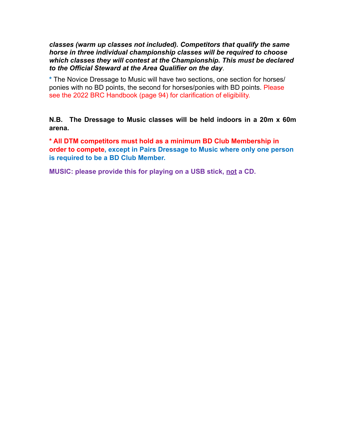#### *classes (warm up classes not included). Competitors that qualify the same horse in three individual championship classes will be required to choose which classes they will contest at the Championship. This must be declared to the Official Steward at the Area Qualifier on the day*.

**\*** The Novice Dressage to Music will have two sections, one section for horses/ ponies with no BD points, the second for horses/ponies with BD points. Please see the 2022 BRC Handbook (page 94) for clarification of eligibility.

**N.B. The Dressage to Music classes will be held indoors in a 20m x 60m arena.** 

**\* All DTM competitors must hold as a minimum BD Club Membership in order to compete, except in Pairs Dressage to Music where only one person is required to be a BD Club Member.**

**MUSIC: please provide this for playing on a USB stick, not a CD.**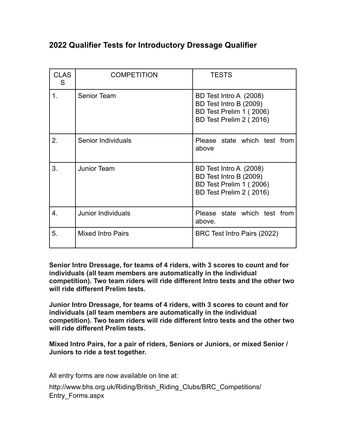## **2022 Qualifier Tests for Introductory Dressage Qualifier**

| <b>CLAS</b><br>S | <b>COMPETITION</b>       | <b>TESTS</b>                                                                                           |
|------------------|--------------------------|--------------------------------------------------------------------------------------------------------|
| 1.               | <b>Senior Team</b>       | BD Test Intro A (2008)<br>BD Test Intro B (2009)<br>BD Test Prelim 1 (2006)<br>BD Test Prelim 2 (2016) |
| 2.               | Senior Individuals       | Please state which test from<br>above                                                                  |
| 3.               | Junior Team              | BD Test Intro A (2008)<br>BD Test Intro B (2009)<br>BD Test Prelim 1 (2006)<br>BD Test Prelim 2 (2016) |
| 4.               | Junior Individuals       | Please state which test from<br>above.                                                                 |
| 5.               | <b>Mixed Intro Pairs</b> | BRC Test Intro Pairs (2022)                                                                            |

**Senior Intro Dressage, for teams of 4 riders, with 3 scores to count and for individuals (all team members are automatically in the individual competition). Two team riders will ride different Intro tests and the other two will ride different Prelim tests.** 

**Junior Intro Dressage, for teams of 4 riders, with 3 scores to count and for individuals (all team members are automatically in the individual competition). Two team riders will ride different Intro tests and the other two will ride different Prelim tests.** 

**Mixed Intro Pairs, for a pair of riders, Seniors or Juniors, or mixed Senior / Juniors to ride a test together.** 

All entry forms are now available on line at:

http://www.bhs.org.uk/Riding/British\_Riding\_Clubs/BRC\_Competitions/ Entry\_Forms.aspx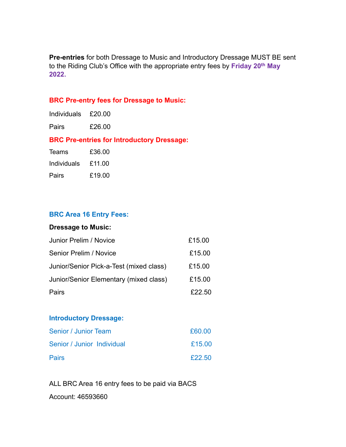**Pre-entries** for both Dressage to Music and Introductory Dressage MUST BE sent to the Riding Club's Office with the appropriate entry fees by **Friday 20th May 2022.** 

#### **BRC Pre-entry fees for Dressage to Music:**

| <b>Individuals</b> | £20.00 |
|--------------------|--------|
| Pairs              | £26.00 |

#### **BRC Pre-entries for Introductory Dressage:**

| Teams       | £36.00 |
|-------------|--------|
| Individuals | £11.00 |
| Pairs       | £19.00 |

#### **BRC Area 16 Entry Fees:**

#### **Dressage to Music:**

| Junior Prelim / Novice                  | £15.00 |
|-----------------------------------------|--------|
| Senior Prelim / Novice                  | £15.00 |
| Junior/Senior Pick-a-Test (mixed class) | £15.00 |
| Junior/Senior Elementary (mixed class)  | £15.00 |
| Pairs                                   | £22.50 |

#### **Introductory Dressage:**

| Senior / Junior Team       | £60.00 |
|----------------------------|--------|
| Senior / Junior Individual | £15.00 |
| <b>Pairs</b>               | £22.50 |

ALL BRC Area 16 entry fees to be paid via BACS Account: 46593660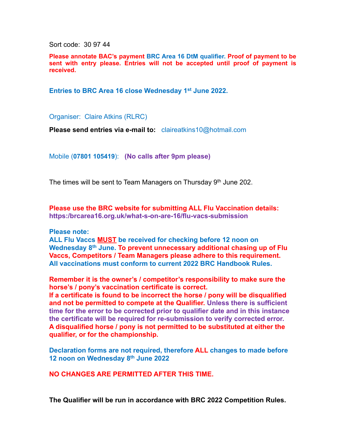Sort code: 30 97 44

**Please annotate BAC's payment BRC Area 16 DtM qualifier. Proof of payment to be sent with entry please. Entries will not be accepted until proof of payment is received.** 

Entries to BRC Area 16 close Wednesday 1<sup>st</sup> June 2022.

Organiser: Claire Atkins (RLRC)

**Please send entries via e-mail to:** claireatkins10@hotmail.com

Mobile (**07801 105419**): **(No calls after 9pm please)**

The times will be sent to Team Managers on Thursday 9<sup>th</sup> June 202.

**Please use the BRC website for submitting ALL Flu Vaccination details: https:/brcarea16.org.uk/what-s-on-are-16/flu-vacs-submission** 

**Please note:** 

**ALL Flu Vaccs MUST be received for checking before 12 noon on Wednesday 8th June. To prevent unnecessary additional chasing up of Flu Vaccs, Competitors / Team Managers please adhere to this requirement. All vaccinations must conform to current 2022 BRC Handbook Rules.** 

**Remember it is the owner's / competitor's responsibility to make sure the horse's / pony's vaccination certificate is correct.** 

**If a certificate is found to be incorrect the horse / pony will be disqualified and not be permitted to compete at the Qualifier. Unless there is sufficient time for the error to be corrected prior to qualifier date and in this instance the certificate will be required for re-submission to verify corrected error. A disqualified horse / pony is not permitted to be substituted at either the qualifier, or for the championship.** 

**Declaration forms are not required, therefore ALL changes to made before 12 noon on Wednesday 8th June 2022** 

**NO CHANGES ARE PERMITTED AFTER THIS TIME.** 

**The Qualifier will be run in accordance with BRC 2022 Competition Rules.**